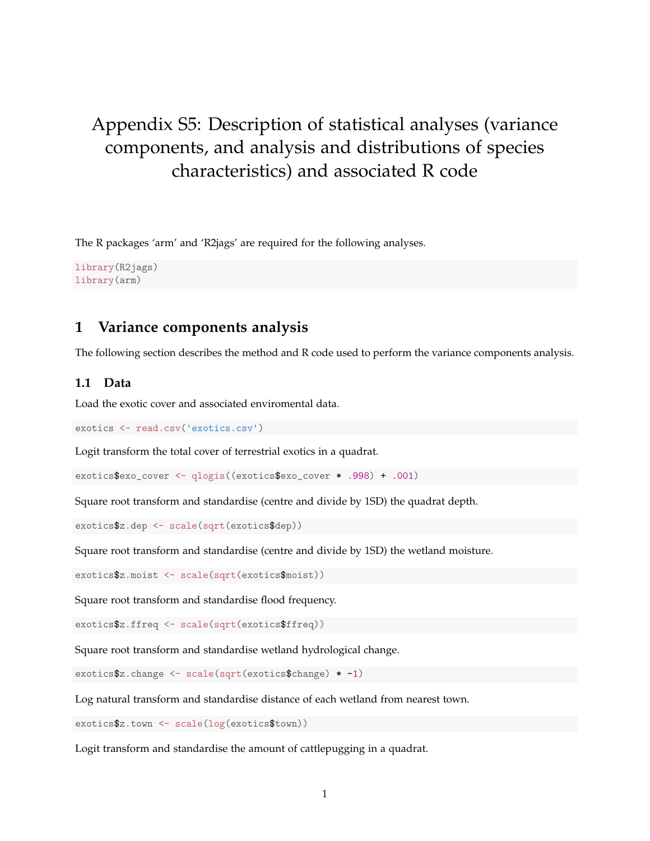# Appendix S5: Description of statistical analyses (variance components, and analysis and distributions of species characteristics) and associated R code

The R packages 'arm' and 'R2jags' are required for the following analyses.

library(R2jags) library(arm)

### **1 Variance components analysis**

The following section describes the method and R code used to perform the variance components analysis.

#### **1.1 Data**

Load the exotic cover and associated enviromental data.

exotics <- read.csv('exotics.csv')

Logit transform the total cover of terrestrial exotics in a quadrat.

exotics\$exo\_cover <- qlogis((exotics\$exo\_cover \* .998) + .001)

Square root transform and standardise (centre and divide by 1SD) the quadrat depth.

exotics\$z.dep <- scale(sqrt(exotics\$dep))

Square root transform and standardise (centre and divide by 1SD) the wetland moisture.

exotics\$z.moist <- scale(sqrt(exotics\$moist))

Square root transform and standardise flood frequency.

exotics\$z.ffreq <- scale(sqrt(exotics\$ffreq))

Square root transform and standardise wetland hydrological change.

exotics\$z.change <- scale(sqrt(exotics\$change) \* -1)

Log natural transform and standardise distance of each wetland from nearest town.

exotics\$z.town <- scale(log(exotics\$town))

Logit transform and standardise the amount of cattlepugging in a quadrat.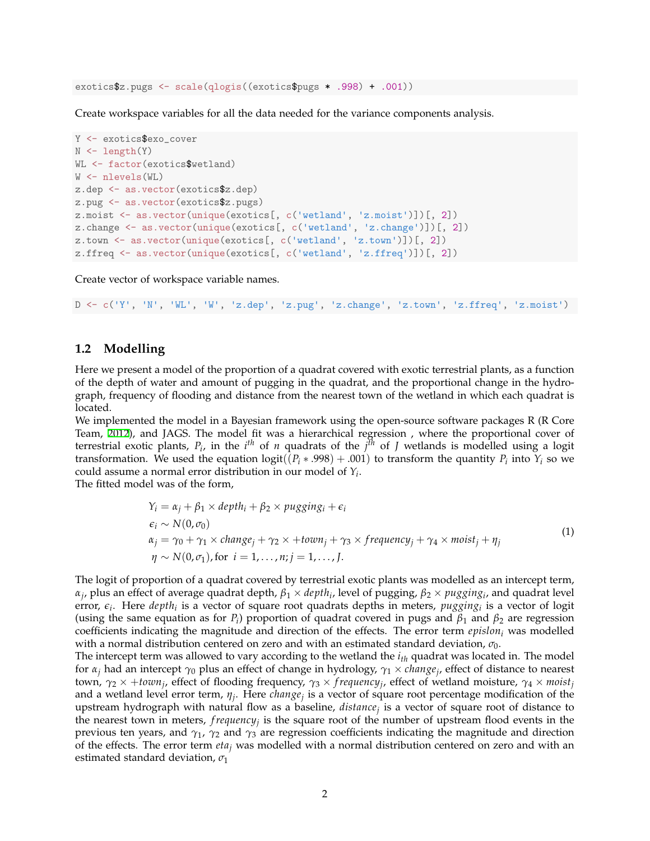exotics\$z.pugs <- scale(qlogis((exotics\$pugs \* .998) + .001))

Create workspace variables for all the data needed for the variance components analysis.

```
Y <- exotics$exo_cover
N <- length(Y)WL <- factor(exotics$wetland)
W <- nlevels(WL)
z.dep <- as.vector(exotics$z.dep)
z.pug <- as.vector(exotics$z.pugs)
z.moist <- as.vector(unique(exotics[, c('wetland', 'z.moist')])[, 2])
z.change <- as.vector(unique(exotics[, c('wetland', 'z.change')])[, 2])
z.town <- as.vector(unique(exotics[, c('wetland', 'z.town')])[, 2])
z.ffreq <- as.vector(unique(exotics[, c('wetland', 'z.ffreq')])[, 2])
```
Create vector of workspace variable names.

 $D \leq -c('Y', 'N', 'WL', 'W', 'z.dep', 'z.pug', 'z.change', 'z.town', 'z.ffreq', 'z.moist')$ 

#### **1.2 Modelling**

Here we present a model of the proportion of a quadrat covered with exotic terrestrial plants, as a function of the depth of water and amount of pugging in the quadrat, and the proportional change in the hydrograph, frequency of flooding and distance from the nearest town of the wetland in which each quadrat is located.

We implemented the model in a Bayesian framework using the open-source software packages R (R Core Team, [2012\)](#page-21-0), and JAGS. The model fit was a hierarchical regression , where the proportional cover of terrestrial exotic plants,  $P_i$ , in the  $i^{th}$  of *n* quadrats of the  $j^{th}$  of *J* wetlands is modelled using a logit transformation. We used the equation  $\text{logit}((P_i * .998) + .001)$  to transform the quantity  $P_i$  into  $Y_i$  so we could assume a normal error distribution in our model of *Y<sup>i</sup>* . The fitted model was of the form,

$$
Y_i = \alpha_j + \beta_1 \times depth_i + \beta_2 \times pugging_i + \epsilon_i
$$
  
\n
$$
\epsilon_i \sim N(0, \sigma_0)
$$
  
\n
$$
\alpha_j = \gamma_0 + \gamma_1 \times change_j + \gamma_2 \times + town_j + \gamma_3 \times frequency_j + \gamma_4 \times moist_j + \eta_j
$$
  
\n
$$
\eta \sim N(0, \sigma_1), \text{for } i = 1, ..., n; j = 1, ..., J.
$$
\n(1)

The logit of proportion of a quadrat covered by terrestrial exotic plants was modelled as an intercept term, *αj* , plus an effect of average quadrat depth, *β*<sup>1</sup> *× depth<sup>i</sup>* , level of pugging, *β*<sup>2</sup> *× pugging<sup>i</sup>* , and quadrat level error, *ϵ<sup>i</sup>* . Here *depth<sup>i</sup>* is a vector of square root quadrats depths in meters, *pugging<sup>i</sup>* is a vector of logit (using the same equation as for  $P_i$ ) proportion of quadrat covered in pugs and  $\beta_1$  and  $\beta_2$  are regression coefficients indicating the magnitude and direction of the effects. The error term *epislon<sup>i</sup>* was modelled with a normal distribution centered on zero and with an estimated standard deviation, *σ*0.

The intercept term was allowed to vary according to the wetland the *i th* quadrat was located in. The model for *α<sup>j</sup>* had an intercept *γ*<sup>0</sup> plus an effect of change in hydrology, *γ*<sup>1</sup> *× change<sup>j</sup>* , effect of distance to nearest town, *γ*<sup>2</sup> *×* +*town<sup>j</sup>* , effect of flooding frequency, *γ*<sup>3</sup> *× f requency<sup>j</sup>* , effect of wetland moisture, *γ*<sup>4</sup> *× moist<sup>j</sup>* and a wetland level error term, *η<sup>j</sup>* . Here *change<sup>j</sup>* is a vector of square root percentage modification of the upstream hydrograph with natural flow as a baseline, *distance<sup>j</sup>* is a vector of square root of distance to the nearest town in meters, *f requency<sup>j</sup>* is the square root of the number of upstream flood events in the previous ten years, and  $\gamma_1$ ,  $\gamma_2$  and  $\gamma_3$  are regression coefficients indicating the magnitude and direction of the effects. The error term *eta<sup>j</sup>* was modelled with a normal distribution centered on zero and with an estimated standard deviation, *σ*<sup>1</sup>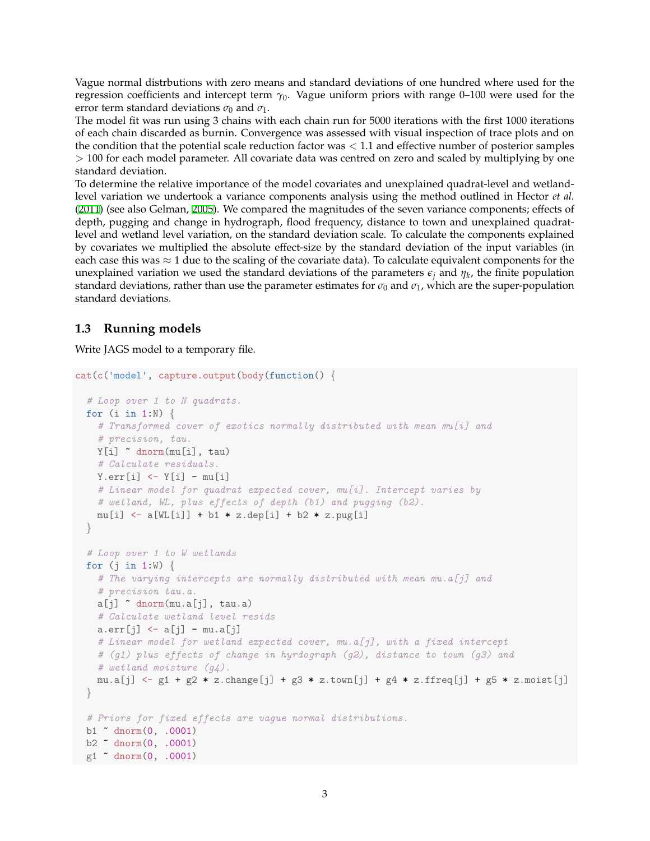Vague normal distrbutions with zero means and standard deviations of one hundred where used for the regression coefficients and intercept term  $\gamma_0$ . Vague uniform priors with range 0–100 were used for the error term standard deviations  $\sigma_0$  and  $\sigma_1$ .

The model fit was run using 3 chains with each chain run for 5000 iterations with the first 1000 iterations of each chain discarded as burnin. Convergence was assessed with visual inspection of trace plots and on the condition that the potential scale reduction factor was *<* 1.1 and effective number of posterior samples *>* 100 for each model parameter. All covariate data was centred on zero and scaled by multiplying by one standard deviation.

To determine the relative importance of the model covariates and unexplained quadrat-level and wetlandlevel variation we undertook a variance components analysis using the method outlined in Hector *et al.* [\(2011](#page-21-1)) (see also Gelman, [2005\)](#page-21-2). We compared the magnitudes of the seven variance components; effects of depth, pugging and change in hydrograph, flood frequency, distance to town and unexplained quadratlevel and wetland level variation, on the standard deviation scale. To calculate the components explained by covariates we multiplied the absolute effect-size by the standard deviation of the input variables (in each case this was *≈* 1 due to the scaling of the covariate data). To calculate equivalent components for the unexplained variation we used the standard deviations of the parameters  $\epsilon_j$  and  $\eta_k$ , the finite population standard deviations, rather than use the parameter estimates for  $\sigma_0$  and  $\sigma_1$ , which are the super-population standard deviations.

### **1.3 Running models**

Write JAGS model to a temporary file.

```
cat(c('model', capture.output(body(function() {
  # Loop over 1 to N quadrats.
 for (i in 1:N) {
   # Transformed cover of exotics normally distributed with mean mu[i] and
    # precision, tau.
   Y[i] ~ dnorm(mu[i], tau)
   # Calculate residuals.
   Y.err[i] \leftarrow Y[i] - mu[i]# Linear model for quadrat expected cover, mu[i]. Intercept varies by
   # wetland, WL, plus effects of depth (b1) and pugging (b2).
   mu[i] <- a[WL[i]] + b1 * z.dep[i] + b2 * z.pug[i]
  }
  # Loop over 1 to W wetlands
  for (j in 1:W) {
   # The varying intercepts are normally distributed with mean mu.a[j] and
    # precision tau.a.
   a[j] dnorm(mu.a[j], tau.a)# Calculate wetland level resids
   a.err[j] \leftarrow a[j] - mu.a[j]# Linear model for wetland expected cover, mu.a[j], with a fixed intercept
    # (g1) plus effects of change in hyrdograph (g2), distance to town (g3) and
   # wetland moisture (g4).
   mu.a[j] \leq -g1 + g2 * z.change[j] + g3 * z.town[j] + g4 * z.ffreq[j] + g5 * z.moist[j]
  }
 # Priors for fixed effects are vague normal distributions.
 b1 ~ dnorm(0, .0001)
 b2 ~ dnorm(0, .0001)
 g1 ~ dnorm(0, .0001)
```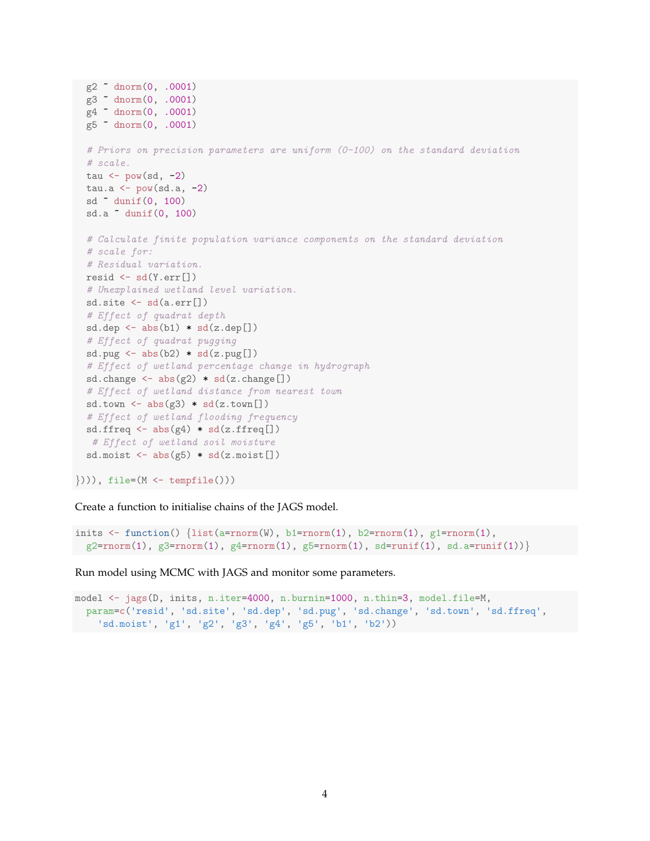```
g2 ~ dnorm(0, .0001)
g3 ~ dnorm(0, .0001)
g4 ~ dnorm(0, .0001)
g5 ~ dnorm(0, .0001)
# Priors on precision parameters are uniform (0-100) on the standard deviation
# scale.
tau \leftarrow pow(sd, -2)
tau.a \leq pow(sd.a, -2)
sd ~ dunif(0, 100)
sd.a ~ dunif(0, 100)
# Calculate finite population variance components on the standard deviation
# scale for:
# Residual variation.
resid \leftarrow sd(Y.err[])
# Unexplained wetland level variation.
sd.site <- sd(a.err[])
# Effect of quadrat depth
sd.dep \leftarrow abs(b1) * sd(z.dep[])# Effect of quadrat pugging
sd.pug \leftarrow abs(b2) \ast sd(z.pug[])
# Effect of wetland percentage change in hydrograph
sd.change \leq abs(g2) * sd(z.change[])
# Effect of wetland distance from nearest town
sd.town \leftarrow abs(g3) * sd(z.town[])# Effect of wetland flooding frequency
sd.ffreq \leq abs(g4) * sd(z.ffreq[])
# Effect of wetland soil moisture
sd.moist \leftarrow abs(g5) * sd(z.moist[])
```
*}*))), file=(M <- tempfile()))

Create a function to initialise chains of the JAGS model.

```
inits <- function() {list(a=rnorm(W), b1=rnorm(1), b2=rnorm(1), g1=rnorm(1),
g2=rnorm(1), g3=rnorm(1), g4=rnorm(1), g5=rnorm(1), sd=runif(1), sd.a=runif(1))}
```
Run model using MCMC with JAGS and monitor some parameters.

```
model <- jags(D, inits, n.iter=4000, n.burnin=1000, n.thin=3, model.file=M,
  param=c('resid', 'sd.site', 'sd.dep', 'sd.pug', 'sd.change', 'sd.town', 'sd.ffreq',
    'sd.moist', 'g1', 'g2', 'g3', 'g4', 'g5', 'b1', 'b2'))
```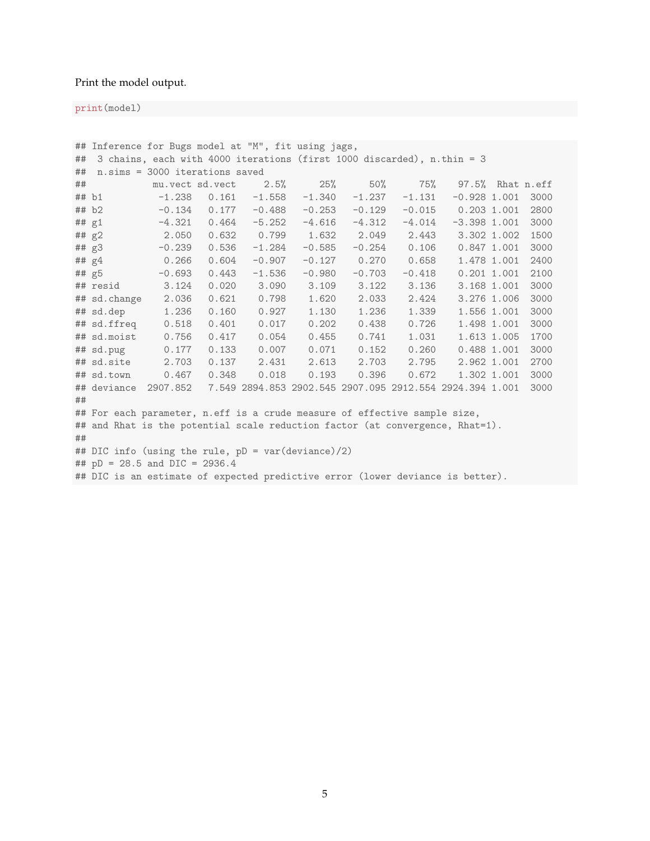#### Print the model output.

print(model)

```
## Inference for Bugs model at "M", fit using jags,
## 3 chains, each with 4000 iterations (first 1000 discarded), n.thin = 3
## n.sims = 3000 iterations saved
## mu.vect sd.vect 2.5% 25% 50% 75% 97.5% Rhat n.eff
## b1 -1.238 0.161 -1.558 -1.340 -1.237 -1.131 -0.928 1.001 3000
## b2 -0.134 0.177 -0.488 -0.253 -0.129 -0.015 0.203 1.001 2800
## g1 -4.321 0.464 -5.252 -4.616 -4.312 -4.014 -3.398 1.001 3000
## g2 2.050 0.632 0.799 1.632 2.049 2.443 3.302 1.002 1500
## g3 -0.239 0.536 -1.284 -0.585 -0.254 0.106 0.847 1.001 3000
## g4 0.266 0.604 -0.907 -0.127 0.270 0.658 1.478 1.001 2400
## g5 -0.693 0.443 -1.536 -0.980 -0.703 -0.418 0.201 1.001 2100
## resid 3.124 0.020 3.090 3.109 3.122 3.136 3.168 1.001 3000
## sd.change 2.036 0.621 0.798 1.620 2.033 2.424 3.276 1.006 3000
## sd.dep 1.236 0.160 0.927 1.130 1.236 1.339 1.556 1.001 3000
## sd.ffreq 0.518 0.401 0.017 0.202 0.438 0.726 1.498 1.001 3000
## sd.moist 0.756 0.417 0.054 0.455 0.741 1.031 1.613 1.005 1700
## sd.pug 0.177 0.133 0.007 0.071 0.152 0.260 0.488 1.001 3000
## sd.site 2.703 0.137 2.431 2.613 2.703 2.795 2.962 1.001 2700
## sd.town 0.467 0.348 0.018 0.193 0.396 0.672 1.302 1.001 3000
## deviance 2907.852 7.549 2894.853 2902.545 2907.095 2912.554 2924.394 1.001 3000
##
## For each parameter, n.eff is a crude measure of effective sample size,
## and Rhat is the potential scale reduction factor (at convergence, Rhat=1).
##
## DIC info (using the rule, pD = var(deviance)/2)
## pD = 28.5 and DIC = 2936.4
## DIC is an estimate of expected predictive error (lower deviance is better).
```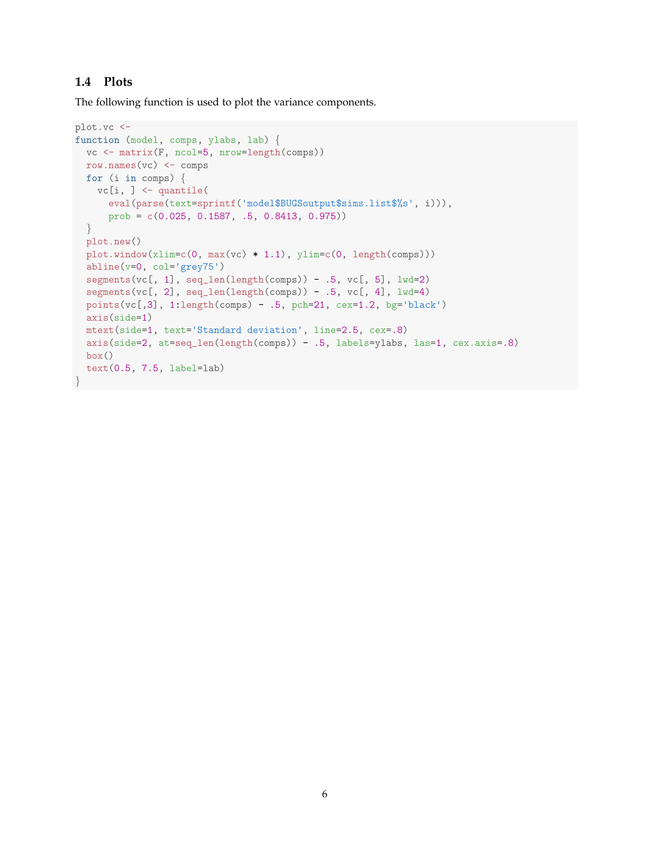### **1.4 Plots**

The following function is used to plot the variance components.

```
plot.vc <-
function (model, comps, ylabs, lab) {
  vc <- matrix(F, ncol=5, nrow=length(comps))
 row.names(vc) <- comps
 for (i in comps) {
   vc[i, ] <- quantile(
      eval(parse(text=sprintf('model$BUGSoutput$sims.list$%s', i))),
      prob = c(0.025, 0.1587, .5, 0.8413, 0.975))
  }
  plot.new()
  plot.vindow(xlim=c(0, max(vc) * 1.1), ylim=c(0, length(comps)))abline(v=0, col='grey75')
  segments(vc[, 1], seq_len(length(comps)) - .5, vc[, 5], lwd=2)
  segments(vc[, 2], seq_len(length(comps)) - .5, vc[, 4], lwd=4)
  points(vc[,3], 1:length(comps) - .5, pch=21, cex=1.2, bg='black')
  axis(side=1)
  mtext(side=1, text='Standard deviation', line=2.5, cex=.8)
  axis(side=2, at=seq_len(length(comps)) - .5, labels=ylabs, las=1, cex.axis=.8)
  box()
  text(0.5, 7.5, label=lab)
}
```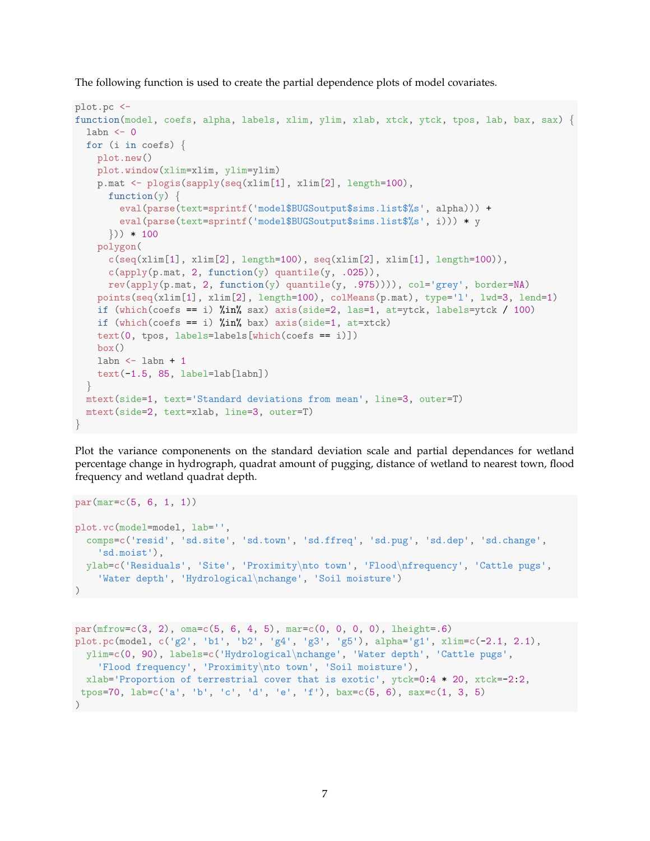The following function is used to create the partial dependence plots of model covariates.

```
plot.pc <-
function(model, coefs, alpha, labels, xlim, ylim, xlab, xtck, ytck, tpos, lab, bax, sax) {
  labn \leftarrow 0
  for (i in coefs) {
    plot.new()
    plot.window(xlim=xlim, ylim=ylim)
    p.mat <- plogis(sapply(seq(xlim[1], xlim[2], length=100),
      function(y) {
         eval(parse(text=sprintf('model$BUGSoutput$sims.list$%s', alpha))) +
         eval(parse(text=sprintf('model$BUGSoutput$sims.list$%s', i))) * y
      })) * 100
    polygon(
      c(\text{seq}(\text{xlim}[1], \text{xlim}[2], \text{length}=100), \text{seq}(\text{xlim}[2], \text{xlim}[1], \text{length}=100)),c(\text{apply}(p.\text{mat}, 2, function(y) quantile(y, .025)),rev(apply(p.mat, 2, function(y) quantile(y, .975)))), col='grey', border=NA)
    points(seq(xlim[1], xlim[2], length=100), colMeans(p.mat), type='l', lwd=3, lend=1)
    if (which(coefs == i) \text{\%in\%}\ sax) axis(side=2, las=1, at=ytck, labels=ytck / 100)
    if (which(coefs == i) \frac{1}{2}in\frac{1}{2} bax) axis(side=1, at=xtck)
    text(0, tpos, labels=labels[which(coeffs == i)])box()
    labn \leftarrow labn + 1
    text(-1.5, 85, label=lab[labn])
  }
  mtext(side=1, text='Standard deviations from mean', line=3, outer=T)
  mtext(side=2, text=xlab, line=3, outer=T)
}
```
Plot the variance componenents on the standard deviation scale and partial dependances for wetland percentage change in hydrograph, quadrat amount of pugging, distance of wetland to nearest town, flood frequency and wetland quadrat depth.

```
par(mar=c(5, 6, 1, 1))
plot.vc(model=model, lab='',
  comps=c('resid', 'sd.site', 'sd.town', 'sd.ffreq', 'sd.pug', 'sd.dep', 'sd.change',
    'sd.moist'),
  ylab=c('Residuals', 'Site', 'Proximity\nto town', 'Flood\nfrequency', 'Cattle pugs',
    'Water depth', 'Hydrological\nchange', 'Soil moisture')
\lambda
```

```
par(mfrow=c(3, 2), \text{ oma}=c(5, 6, 4, 5), \text{ mar}=c(0, 0, 0, 0), \text{ height}=.6)plot.pc(model, c('g2', 'b1', 'b2', 'g4', 'g3', 'g5'), alpha='g1', xlim=c(-2.1, 2.1),
  ylim=c(0, 90), labels=c('Hydrological\nchange', 'Water depth', 'Cattle pugs',
    'Flood frequency', 'Proximity\nto town', 'Soil moisture'),
  xlab='Proportion of terrestrial cover that is exotic', ytck=0:4*20, xtck=-2:2,
 tpos=70, lab=c('a', 'b', 'c', 'd', 'e', 'f'), bax=c(5, 6), sax=c(1, 3, 5)\lambda
```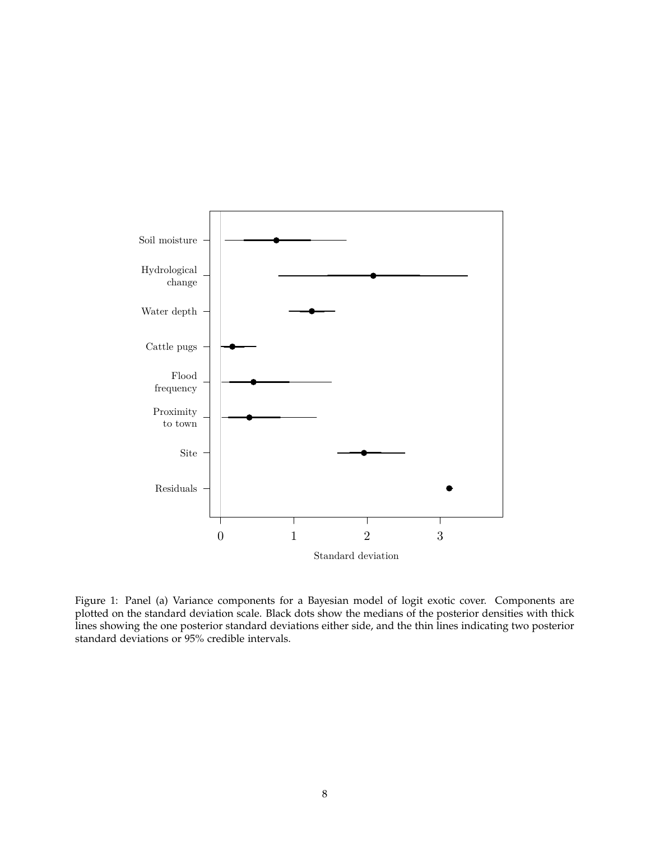

Figure 1: Panel (a) Variance components for a Bayesian model of logit exotic cover. Components are plotted on the standard deviation scale. Black dots show the medians of the posterior densities with thick lines showing the one posterior standard deviations either side, and the thin lines indicating two posterior standard deviations or 95% credible intervals.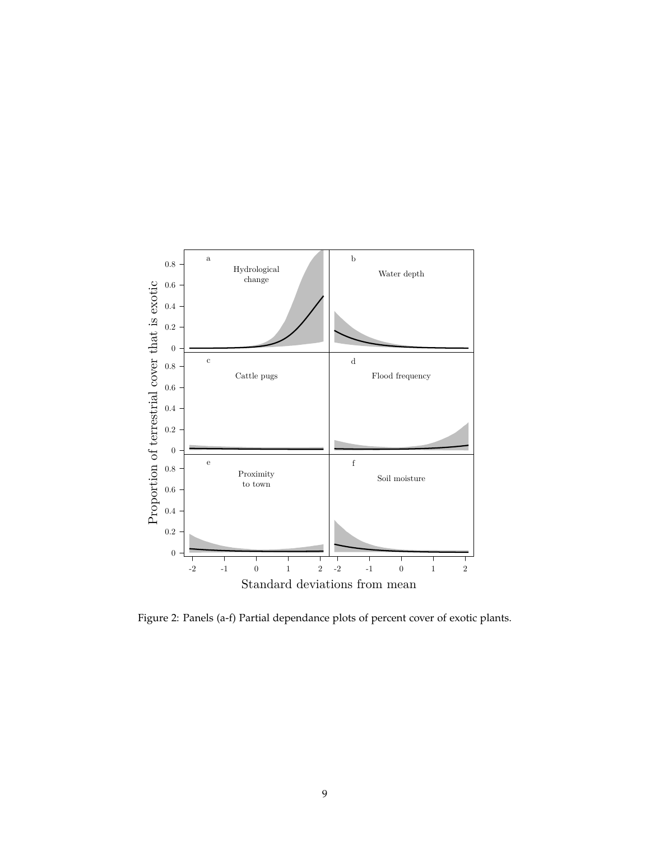

Figure 2: Panels (a-f) Partial dependance plots of percent cover of exotic plants.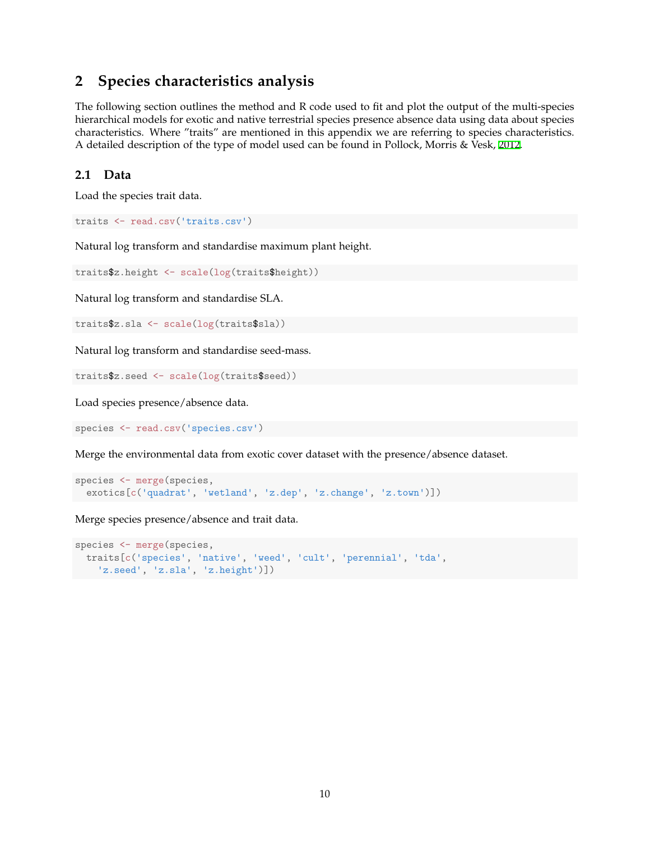# **2 Species characteristics analysis**

The following section outlines the method and R code used to fit and plot the output of the multi-species hierarchical models for exotic and native terrestrial species presence absence data using data about species characteristics. Where "traits" are mentioned in this appendix we are referring to species characteristics. A detailed description of the type of model used can be found in Pollock, Morris & Vesk, [2012.](#page-21-3)

### **2.1 Data**

Load the species trait data.

```
traits <- read.csv('traits.csv')
```
Natural log transform and standardise maximum plant height.

traits\$z.height <- scale(log(traits\$height))

Natural log transform and standardise SLA.

traits\$z.sla <- scale(log(traits\$sla))

Natural log transform and standardise seed-mass.

traits\$z.seed <- scale(log(traits\$seed))

Load species presence/absence data.

species <- read.csv('species.csv')

Merge the environmental data from exotic cover dataset with the presence/absence dataset.

```
species <- merge(species,
 exotics[c('quadrat', 'wetland', 'z.dep', 'z.change', 'z.town')])
```
Merge species presence/absence and trait data.

```
species <- merge(species,
 traits[c('species', 'native', 'weed', 'cult', 'perennial', 'tda',
    'z.seed', 'z.sla', 'z.height')])
```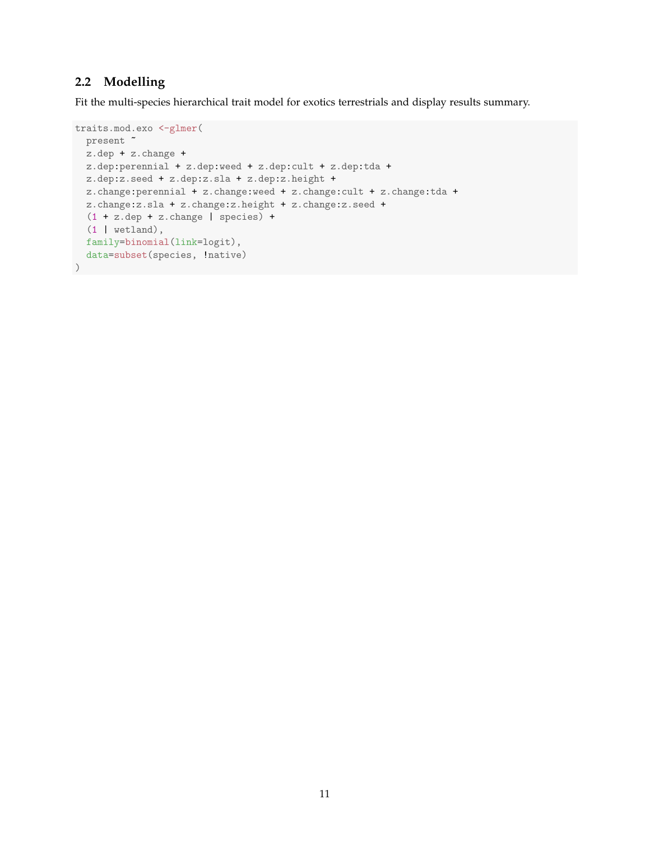### **2.2 Modelling**

Fit the multi-species hierarchical trait model for exotics terrestrials and display results summary.

```
traits.mod.exo <-glmer(
 present ~
 z.dep + z.change +
 z.dep:perennial + z.dep:weed + z.dep:cult + z.dep:tda +
  z.dep:z.seed + z.dep:z.sla + z.dep:z.height +
  z.change:perennial + z.change:weed + z.change:cult + z.change:tda +
  z.change:z.sla + z.change:z.height + z.change:z.seed +
  (1 + z.dep + z.change | species) +
  (1 | wetland),
 family=binomial(link=logit),
 data=subset(species, !native)
)
```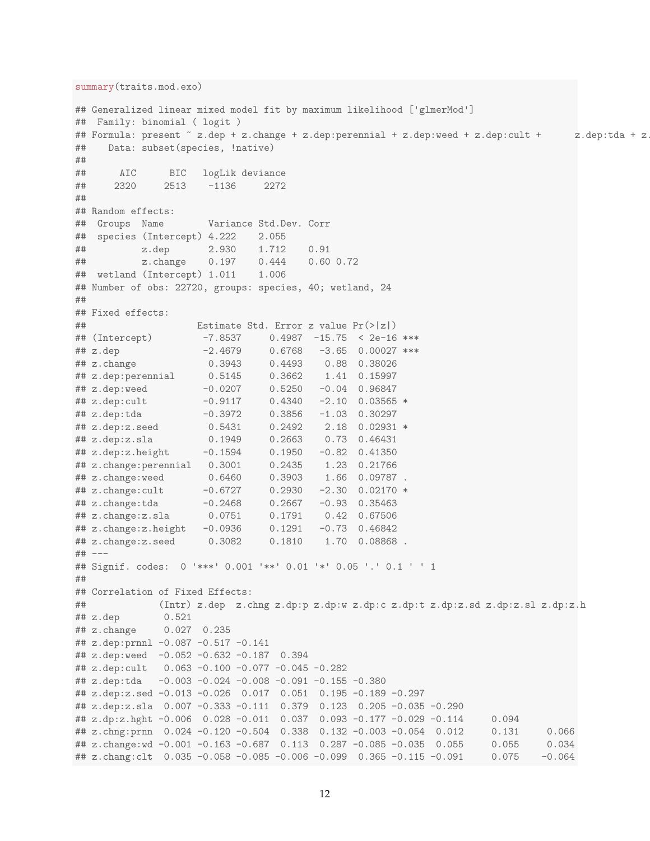```
summary(traits.mod.exo)
## Generalized linear mixed model fit by maximum likelihood ['glmerMod']
## Family: binomial ( logit )
## Formula: present ~ z.dep + z.change + z.dep:perennial + z.dep:weed + z.dep:cult + z.dep:tda + z
## Data: subset(species, !native)
##
## AIC BIC logLik deviance
## 2320 2513 -1136 2272
##
## Random effects:
## Groups Name Variance Std.Dev. Corr
## species (Intercept) 4.222 2.055
## z.dep 2.930 1.712 0.91
## z.change 0.197 0.444 0.60 0.72
## wetland (Intercept) 1.011 1.006
## Number of obs: 22720, groups: species, 40; wetland, 24
##
## Fixed effects:
## Estimate Std. Error z value Pr(>|z|)
## (Intercept) -7.8537 0.4987 -15.75 < 2e-16 ***
## z.dep -2.4679 0.6768 -3.65 0.00027 ***
## z.change 0.3943 0.4493 0.88 0.38026
## z.dep:perennial 0.5145 0.3662 1.41 0.15997
## z.dep:weed -0.0207 0.5250 -0.04 0.96847
## z.dep:cult -0.9117 0.4340 -2.10 0.03565 *
## z.dep:tda -0.3972 0.3856 -1.03 0.30297
## z.dep:z.seed 0.5431 0.2492 2.18 0.02931 *
## z.dep:z.sla 0.1949 0.2663 0.73 0.46431
## z.dep:z.height -0.1594 0.1950 -0.82 0.41350<br>
## z.change:perennial 0.3001 0.2435 1.23 0.21766
## z.change:perennial 0.3001 0.2435 1.23 0.21766
## z.change:weed 0.6460 0.3903 1.66 0.09787 .
## z.change:cult -0.6727 0.2930 -2.30 0.02170 *
## z.change:tda -0.2468 0.2667 -0.93 0.35463
## z.change:z.sla 0.0751 0.1791 0.42 0.67506
## z.change:z.height -0.0936 0.1291 -0.73 0.46842
## z.change:z.seed 0.3082 0.1810 1.70 0.08868 .
## ---
## Signif. codes: 0 '***' 0.001 '**' 0.01 '*' 0.05 '.' 0.1 ' ' 1
##
## Correlation of Fixed Effects:
## (Intr) z.dep z.chng z.dp:p z.dp:w z.dp:c z.dp:t z.dp:z.sd z.dp:z.sl z.dp:z.h
## z.dep 0.521
## z.change 0.027 0.235
## z.dep:prnnl -0.087 -0.517 -0.141
## z.dep:weed -0.052 -0.632 -0.187 0.394
## z.dep:cult 0.063 -0.100 -0.077 -0.045 -0.282
## z.dep:tda -0.003 -0.024 -0.008 -0.091 -0.155 -0.380
## z.dep:z.sed -0.013 -0.026 0.017 0.051 0.195 -0.189 -0.297
## z.dep:z.sla 0.007 -0.333 -0.111 0.379 0.123 0.205 -0.035 -0.290
## z.dp:z.hght -0.006 0.028 -0.011 0.037 0.093 -0.177 -0.029 -0.114 0.094
## z.chng:prnn 0.024 -0.120 -0.504 0.338 0.132 -0.003 -0.054 0.012 0.131 0.066
## z.change:wd -0.001 -0.163 -0.687 0.113 0.287 -0.085 -0.035 0.055 0.055 0.034
## z.chang:clt 0.035 -0.058 -0.085 -0.006 -0.099 0.365 -0.115 -0.091 0.075 -0.064
```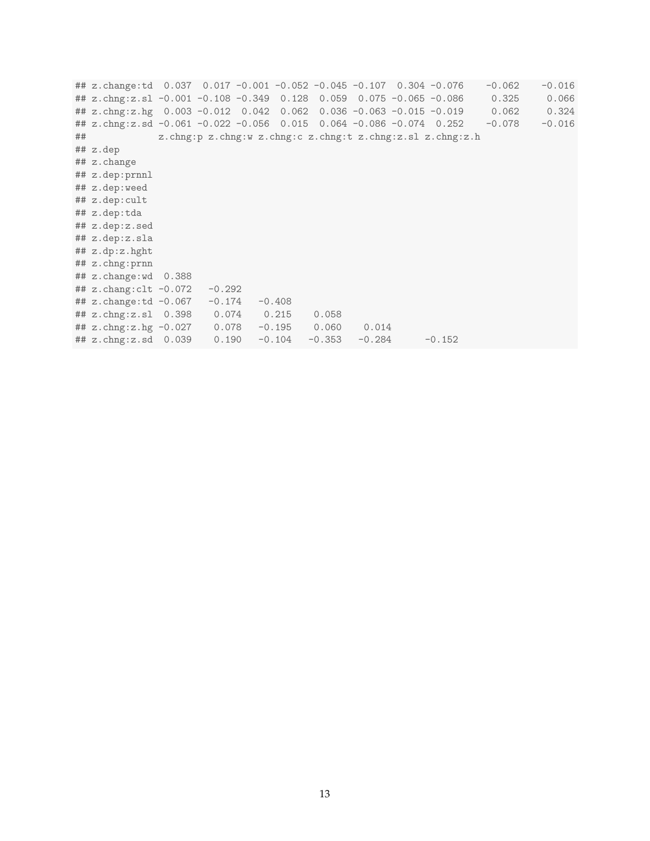## z.change:td 0.037 0.017 -0.001 -0.052 -0.045 -0.107 0.304 -0.076 -0.062 -0.016 ## z.chng:z.sl -0.001 -0.108 -0.349 0.128 0.059 0.075 -0.065 -0.086 0.325 0.066 ## z.chng:z.hg 0.003 -0.012 0.042 0.062 0.036 -0.063 -0.015 -0.019 0.062 0.324 ## z.chng:z.sd -0.061 -0.022 -0.056 0.015 0.064 -0.086 -0.074 0.252 -0.078 -0.016 ## z.chng:p z.chng:w z.chng:c z.chng:t z.chng:z.sl z.chng:z.h ## z.dep ## z.change ## z.dep:prnnl ## z.dep:weed ## z.dep:cult ## z.dep:tda ## z.dep:z.sed ## z.dep:z.sla ## z.dp:z.hght ## z.chng:prnn ## z.change:wd 0.388 ## z.chang:clt -0.072 -0.292 ## z.change:td -0.067 -0.174 -0.408 ## z.chng:z.sl 0.398 0.074 0.215 0.058 ## z.chng:z.hg -0.027 0.078 -0.195 0.060 0.014 ## z.chng:z.sd 0.039 0.190 -0.104 -0.353 -0.284 -0.152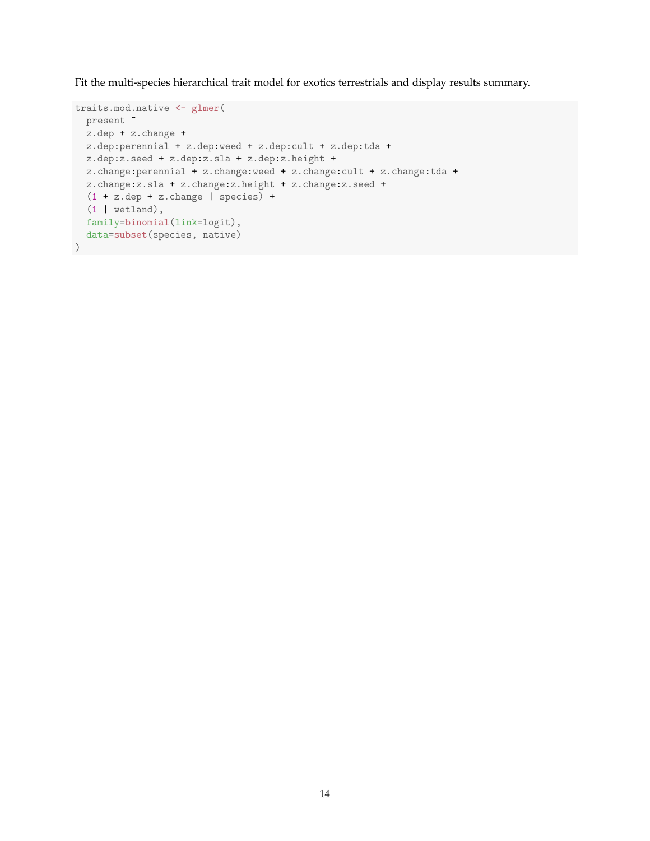Fit the multi-species hierarchical trait model for exotics terrestrials and display results summary.

```
traits.mod.native <- glmer(
 present ~
 z.dep + z.change +
  z.dep:perennial + z.dep:weed + z.dep:cult + z.dep:tda +
  z.dep:z.seed + z.dep:z.sla + z.dep:z.height +
  z.change:perennial + z.change:weed + z.change:cult + z.change:tda +
  z.change:z.sla + z.change:z.height + z.change:z.seed +
  (1 + z.dep + z.change | species) +
  (1 | wetland),
 family=binomial(link=logit),
  data=subset(species, native)
)
```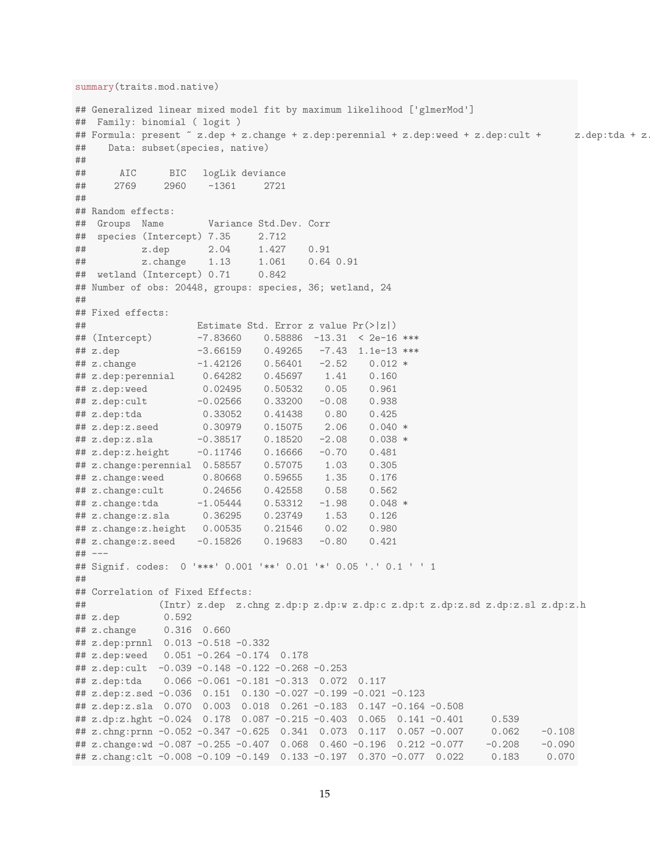```
summary(traits.mod.native)
## Generalized linear mixed model fit by maximum likelihood ['glmerMod']
## Family: binomial ( logit )
## Formula: present ~ z.dep + z.change + z.dep:perennial + z.dep:weed + z.dep:cult + z.dep:tda + z
## Data: subset(species, native)
##
## AIC BIC logLik deviance
## 2769 2960 -1361 2721
##
## Random effects:
## Groups Name Variance Std.Dev. Corr
## species (Intercept) 7.35 2.712
## z.dep 2.04 1.427 0.91
## z.change 1.13 1.061 0.64 0.91
## wetland (Intercept) 0.71 0.842
## Number of obs: 20448, groups: species, 36; wetland, 24
##
## Fixed effects:
## Estimate Std. Error z value Pr(>|z|)
## (Intercept) -7.83660 0.58886 -13.31 < 2e-16 ***
## z.dep -3.66159 0.49265 -7.43 1.1e-13 ***
\# z.change -1.42126 0.56401 -2.52
## z.dep:perennial 0.64282 0.45697 1.41 0.160
## z.dep:weed 0.02495 0.50532 0.05 0.961
## z.dep:cult -0.02566 0.33200 -0.08 0.938
## z.dep:tda 0.33052 0.41438 0.80 0.425
## z.dep:z.seed 0.30979 0.15075 2.06 0.040 *
## z.dep:z.sla -0.38517 0.18520 -2.08 0.038 *
## z.dep:z.height -0.11746 0.16666 -0.70 0.481<br>
## z.change:perennial 0.58557 0.57075 1.03 0.305
## z.change:perennial 0.58557  0.57075  1.03
## z.change:weed 0.80668 0.59655 1.35 0.176
## z.change:cult 0.24656 0.42558 0.58 0.562
## z.change:tda -1.05444 0.53312 -1.98 0.048 *
## z.change:z.sla 0.36295 0.23749 1.53 0.126
## z.change:z.height 0.00535 0.21546 0.02 0.980
## z.change:z.seed -0.15826 0.19683 -0.80 0.421
## ---
## Signif. codes: 0 '***' 0.001 '**' 0.01 '*' 0.05 '.' 0.1 ' ' 1
##
## Correlation of Fixed Effects:
## (Intr) z.dep z.chng z.dp:p z.dp:w z.dp:c z.dp:t z.dp:z.sd z.dp:z.sl z.dp:z.h
## z.dep 0.592
## z.change 0.316 0.660
## z.dep:prnnl 0.013 -0.518 -0.332
## z.dep:weed 0.051 -0.264 -0.174 0.178
## z.dep:cult -0.039 -0.148 -0.122 -0.268 -0.253
## z.dep:tda 0.066 -0.061 -0.181 -0.313 0.072 0.117
## z.dep:z.sed -0.036 0.151 0.130 -0.027 -0.199 -0.021 -0.123
## z.dep:z.sla 0.070 0.003 0.018 0.261 -0.183 0.147 -0.164 -0.508
## z.dp:z.hght -0.024 0.178 0.087 -0.215 -0.403 0.065 0.141 -0.401 0.539
## z.chng:prnn -0.052 -0.347 -0.625 0.341 0.073 0.117 0.057 -0.007 0.062 -0.108
## z.change:wd -0.087 -0.255 -0.407 0.068 0.460 -0.196 0.212 -0.077 -0.208 -0.090
## z.chang:clt -0.008 -0.109 -0.149 0.133 -0.197 0.370 -0.077 0.022 0.183 0.070
```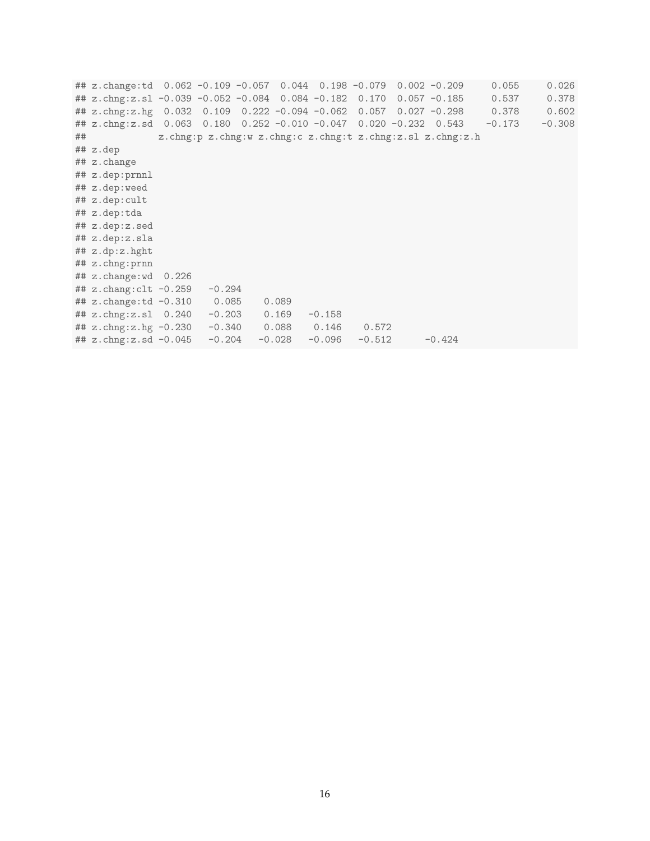## z.change:td 0.062 -0.109 -0.057 0.044 0.198 -0.079 0.002 -0.209 0.055 0.026 ## z.chng:z.sl -0.039 -0.052 -0.084 0.084 -0.182 0.170 0.057 -0.185 0.537 0.378 ## z.chng:z.hg 0.032 0.109 0.222 -0.094 -0.062 0.057 0.027 -0.298 0.378 0.602 ## z.chng:z.sd 0.063 0.180 0.252 -0.010 -0.047 0.020 -0.232 0.543 -0.173 -0.308 ## z.chng:p z.chng:w z.chng:c z.chng:t z.chng:z.sl z.chng:z.h ## z.dep ## z.change ## z.dep:prnnl ## z.dep:weed ## z.dep:cult ## z.dep:tda ## z.dep:z.sed ## z.dep:z.sla ## z.dp:z.hght ## z.chng:prnn ## z.change:wd 0.226 ## z.chang:clt -0.259 -0.294 ## z.change:td -0.310 0.085 0.089 ## z.chng:z.sl 0.240 -0.203 0.169 -0.158 ## z.chng:z.hg -0.230 -0.340 0.088 0.146 0.572 ## z.chng:z.sd -0.045 -0.204 -0.028 -0.096 -0.512 -0.424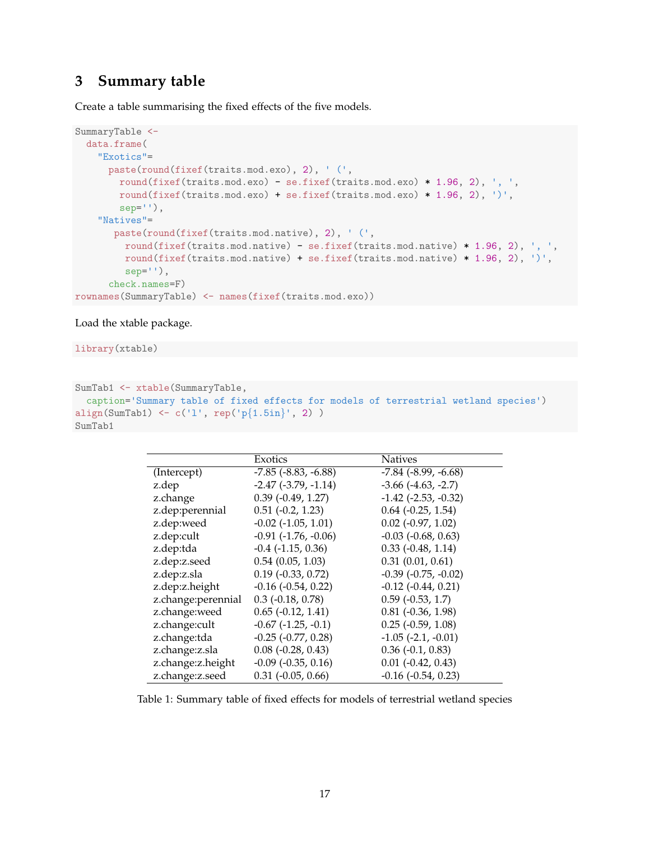### **3 Summary table**

Create a table summarising the fixed effects of the five models.

```
SummaryTable <-
 data.frame(
    "Exotics"=
     paste(round(fixef(traits.mod.exo), 2), ' (',
       round(fixef(traits.mod.exo) - se.fixef(traits.mod.exo) * 1.96, 2), ', ',
        round(fixef(traits.mod.exo) + se.fixef(traits.mod.exo) * 1.96, 2), ')',
        sep = ''),
    "Natives"=
      paste(round(fixef(traits.mod.native), 2), ' (',
         round(fixef(traits.mod.native) - se.fixef(traits.mod.native) * 1.96, 2), ', ',
        round(fixef(traits.mod.native) + se.fixef(traits.mod.native) * 1.96, 2), ')',
         sep=''),
      check.names=F)
rownames(SummaryTable) <- names(fixef(traits.mod.exo))
```
Load the xtable package.

library(xtable)

```
SumTab1 <- xtable(SummaryTable,
 caption='Summary table of fixed effects for models of terrestrial wetland species')
align(SumTab1) <- c('l', rep('p{1.5in}', 2) )
SumTab1
```

|                    | Exotics                       | <b>Natives</b>              |
|--------------------|-------------------------------|-----------------------------|
| (Intercept)        | $-7.85$ ( $-8.83$ , $-6.88$ ) | $-7.84$ $(-8.99, -6.68)$    |
| z.dep              | $-2.47$ $(-3.79, -1.14)$      | $-3.66$ $(-4.63, -2.7)$     |
| z.change           | $0.39$ ( $-0.49$ , $1.27$ )   | $-1.42$ $(-2.53, -0.32)$    |
| z.dep:perennial    | $0.51$ ( $-0.2$ , 1.23)       | $0.64$ ( $-0.25$ , 1.54)    |
| z.dep:weed         | $-0.02$ $(-1.05, 1.01)$       | $0.02$ ( $-0.97$ , $1.02$ ) |
| z.dep:cult         | $-0.91$ $(-1.76, -0.06)$      | $-0.03$ $(-0.68, 0.63)$     |
| z.dep:tda          | $-0.4$ $(-1.15, 0.36)$        | $0.33$ ( $-0.48$ , 1.14)    |
| z.dep:z.seed       | 0.54(0.05, 1.03)              | 0.31(0.01, 0.61)            |
| z.dep:z.sla        | $0.19$ ( $-0.33$ , $0.72$ )   | $-0.39$ $(-0.75, -0.02)$    |
| z.dep:z.height     | $-0.16$ $(-0.54, 0.22)$       | $-0.12$ $(-0.44, 0.21)$     |
| z.change:perennial | $0.3$ ( $-0.18$ , $0.78$ )    | $0.59$ ( $-0.53$ , 1.7)     |
| z.change:weed      | $0.65$ ( $-0.12$ , $1.41$ )   | $0.81$ ( $-0.36$ , $1.98$ ) |
| z.change:cult      | $-0.67$ $(-1.25, -0.1)$       | $0.25$ ( $-0.59$ , $1.08$ ) |
| z.change:tda       | $-0.25$ $(-0.77, 0.28)$       | $-1.05$ $(-2.1, -0.01)$     |
| z.change:z.sla     | $0.08$ ( $-0.28$ , $0.43$ )   | $0.36$ (-0.1, 0.83)         |
| z.change:z.height  | $-0.09$ $(-0.35, 0.16)$       | $0.01$ ( $-0.42$ , $0.43$ ) |
| z.change:z.seed    | $0.31$ ( $-0.05$ , $0.66$ )   | $-0.16$ $(-0.54, 0.23)$     |

Table 1: Summary table of fixed effects for models of terrestrial wetland species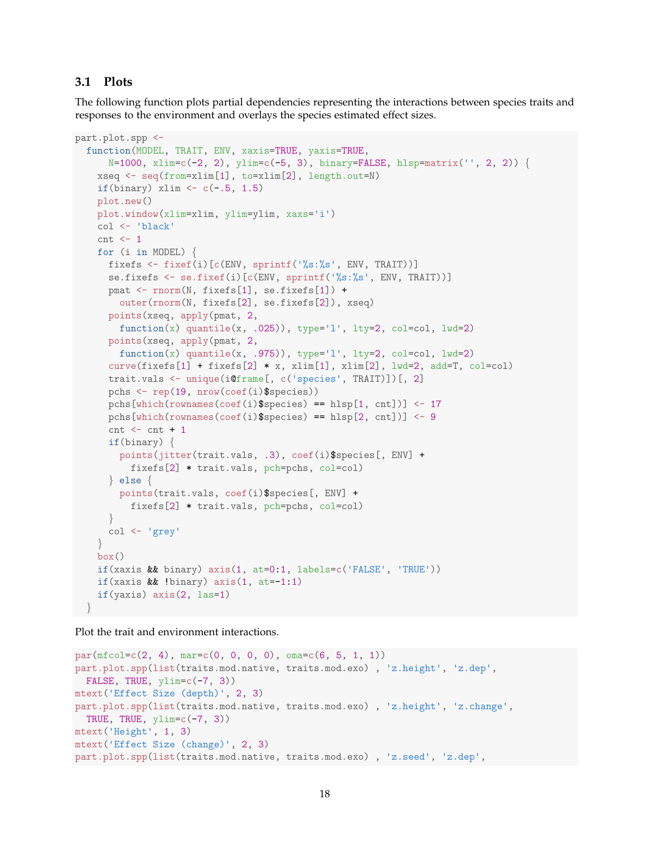#### **3.1 Plots**

The following function plots partial dependencies representing the interactions between species traits and responses to the environment and overlays the species estimated effect sizes.

```
part.plot.spp <-
  function(MODEL, TRAIT, ENV, xaxis=TRUE, yaxis=TRUE,
      N=1000, xlim=c(-2, 2), ylim=c(-5, 3), binary=FALSE, hlsp=matrix('', 2, 2)) {
   xseq <- seq(from=xlim[1], to=xlim[2], length.out=N)
   if(binary) xlim \leftarrow c(\leftarrow.5, 1.5)
    plot.new()
   plot.window(xlim=xlim, ylim=ylim, xaxs='i')
   col <- 'black'
   cnt < -1for (i in MODEL) {
      fixefs <- fixef(i)[c(ENV, sprintf('%s:%s', ENV, TRAIT))]
      se.fixefs <- se.fixef(i)[c(ENV, sprintf('%s:%s', ENV, TRAIT))]
      pmat <- rnorm(N, fixefs[1], se.fixefs[1]) +
        outer(rnorm(N, fixefs[2], se.fixefs[2]), xseq)
      points(xseq, apply(pmat, 2,
        function(x) quantile(x, .025)), type='l', lty=2, col=col, lwd=2)
      points(xseq, apply(pmat, 2,
        function(x) quantile(x, .975), type='l', lty=2, col=col, lwd=2)
      curve(fixefs[1] + fixefs[2] * x, xlim[1], xlim[2], lwd=2, add=T, col=col)
      trait.vals <- unique(i@frame[, c('species', TRAIT)])[, 2]
      pchs <- rep(19, nrow(coef(i)$species))
      pchs[which(rownames(coef(i)$species) == hlsp[1, cnt])] <- 17
      pchs[which(rownames(coef(i)$species) == hlsp[2, cnt])] <- 9
      cnt < -cnt + 1if(binary) {
        points(jitter(trait.vals, .3), coef(i)$species[, ENV] +
          fixefs[2] * trait.vals, pch=pchs, col=col)
      } else {
        points(trait.vals, coef(i)$species[, ENV] +
          fixefs[2] * trait.vals, pch=pchs, col=col)
      }
      col <- 'grey'
    }
    box()
    if(xaxis \& binary) axis(1, at=0:1, labels=c('FALSE', 'TRUE'))if(xaxis && !binary) axis(1, at=-1:1)
    if(yaxis) axis(2, las=1)
  }
```
Plot the trait and environment interactions.

```
par(mfcol=c(2, 4), mar=c(0, 0, 0, 0), oma=c(6, 5, 1, 1))part.plot.spp(list(traits.mod.native, traits.mod.exo) , 'z.height', 'z.dep',
 FALSE, TRUE, ylim=c(-7, 3))
mtext('Effect Size (depth)', 2, 3)
part.plot.spp(list(traits.mod.native, traits.mod.exo) , 'z.height', 'z.change',
 TRUE, TRUE, ylim=c(-7, 3)mtext('Height', 1, 3)
mtext('Effect Size (change)', 2, 3)
part.plot.spp(list(traits.mod.native, traits.mod.exo) , 'z.seed', 'z.dep',
```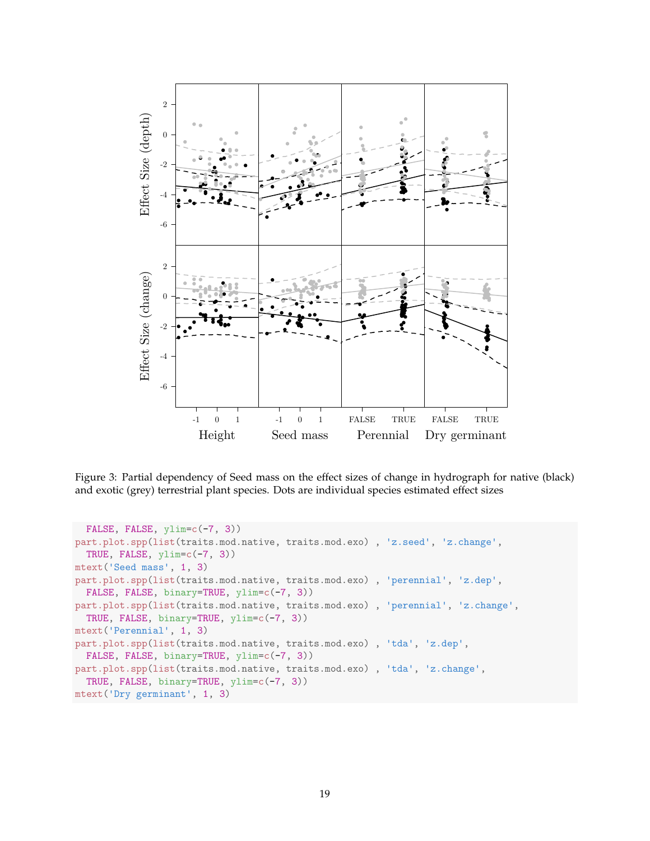

Figure 3: Partial dependency of Seed mass on the effect sizes of change in hydrograph for native (black) and exotic (grey) terrestrial plant species. Dots are individual species estimated effect sizes

```
FALSE, FALSE, ylim=c(-7, 3))
part.plot.spp(list(traits.mod.native, traits.mod.exo) , 'z.seed', 'z.change',
  TRUE, FALSE, ylim=c(-7, 3))
mtext('Seed mass', 1, 3)
part.plot.spp(list(traits.mod.native, traits.mod.exo) , 'perennial', 'z.dep',
  FALSE, FALSE, binary=TRUE, ylim=c(-7, 3))
part.plot.spp(list(traits.mod.native, traits.mod.exo) , 'perennial', 'z.change',
  TRUE, FALSE, binary=TRUE, ylim=c(-7, 3))
mtext('Perennial', 1, 3)
part.plot.spp(list(traits.mod.native, traits.mod.exo) , 'tda', 'z.dep',
  FALSE, FALSE, binary=TRUE, ylim=c(-7, 3))
part.plot.spp(list(traits.mod.native, traits.mod.exo) , 'tda', 'z.change',
  TRUE, FALSE, binary=TRUE, ylim=c(-7, 3))
mtext('Dry germinant', 1, 3)
```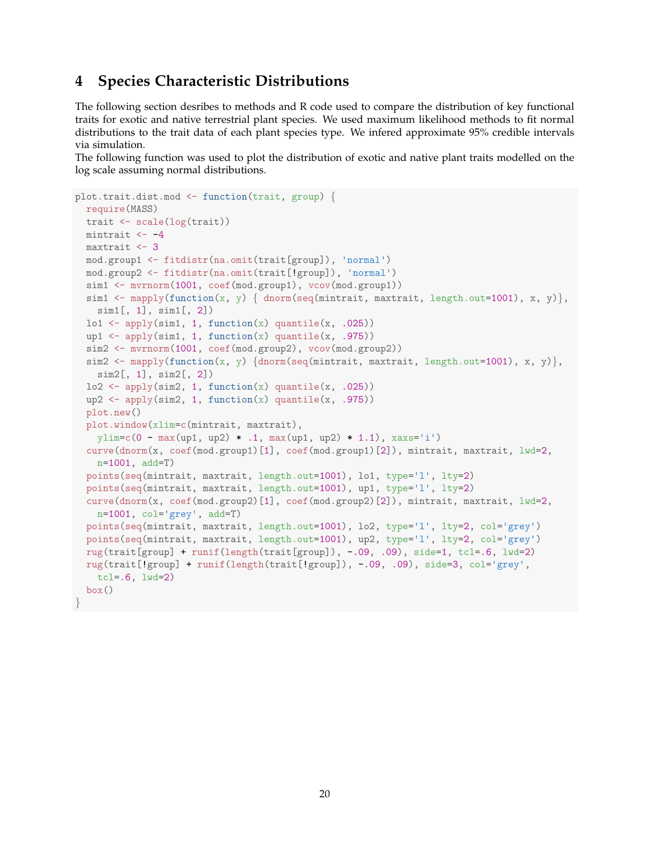# **4 Species Characteristic Distributions**

The following section desribes to methods and R code used to compare the distribution of key functional traits for exotic and native terrestrial plant species. We used maximum likelihood methods to fit normal distributions to the trait data of each plant species type. We infered approximate 95% credible intervals via simulation.

The following function was used to plot the distribution of exotic and native plant traits modelled on the log scale assuming normal distributions.

```
plot.trait.dist.mod <- function(trait, group) {
  require(MASS)
  trait <- scale(log(trait))
 mintrait <-4maxtrait <- 3
 mod.group1 <- fitdistr(na.omit(trait[group]), 'normal')
 mod.group2 <- fitdistr(na.omit(trait[!group]), 'normal')
  sim1 <- mvrnorm(1001, coef(mod.group1), vcov(mod.group1))
  sim1 <- mapply(function(x, y) { dnorm(seq(mintrait, maxtrait, length.out=1001), x, y)},
   sim1[, 1], sim1[, 2])\text{lo1} \leftarrow \text{apply}(\text{sim1}, 1, \text{function}(x) \text{ quantile}(x, .025))up1 \leftarrow apply(sim1, 1, function(x) quantile(x, .975))
  sim2 <- mvrnorm(1001, coef(mod.group2), vcov(mod.group2))
  sim2 <- mapply(function(x, y) {dnorm(seq(mintrait, maxtrait, length.out=1001), x, y)},
    sim2[, 1], sim2[, 2])
  lo2 \leftarrow apply(sim2, 1, function(x) quantile(x, .025))up2 <- apply(sim2, 1, function(x) quantile(x, .975))
  plot.new()
  plot.window(xlim=c(mintrait, maxtrait),
    ylim=c(0 - max(up1, up2) * .1, max(up1, up2) * 1.1), xaxs='i')
  curve(dnorm(x, coef(mod.group1)[1], coef(mod.group1)[2]), mintrait, maxtrait, lwd=2,
    n=1001, add=T)
  points(seq(mintrait, maxtrait, length.out=1001), lo1, type='l', lty=2)
  points(seq(mintrait, maxtrait, length.out=1001), up1, type='l', lty=2)
  curve(dnorm(x, coef(mod.group2)[1], coef(mod.group2)[2]), mintrait, maxtrait, lwd=2,
    n=1001, col='grey', add=T)
  points(seq(mintrait, maxtrait, length.out=1001), lo2, type='l', lty=2, col='grey')
  points(seq(mintrait, maxtrait, length.out=1001), up2, type='l', lty=2, col='grey')
  rug(train[group] + runif(lenpth(train[group]), -.09, .09), side=1, tol=6, lwd=2)rug(trait[!group] + runif(length(trait[!group]), -.09, .09), side=3, col='grey',
    tcl=.6, lwd=2)
  box()
}
```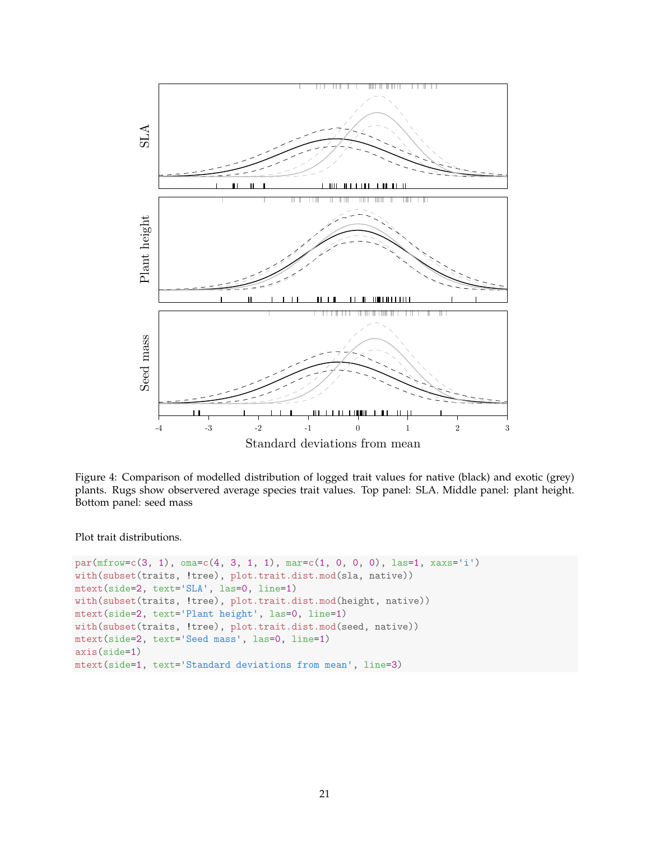

Figure 4: Comparison of modelled distribution of logged trait values for native (black) and exotic (grey) plants. Rugs show observered average species trait values. Top panel: SLA. Middle panel: plant height. Bottom panel: seed mass

Plot trait distributions.

```
par(mfrow=c(3, 1), oma=c(4, 3, 1, 1), mar=c(1, 0, 0, 0), las=1, xaxs='i')with(subset(traits, !tree), plot.trait.dist.mod(sla, native))
mtext(side=2, text='SLA', las=0, line=1)
with(subset(traits, !tree), plot.trait.dist.mod(height, native))
mtext(side=2, text='Plant height', las=0, line=1)
with(subset(traits, !tree), plot.trait.dist.mod(seed, native))
mtext(side=2, text='Seed mass', las=0, line=1)
axis(side=1)
mtext(side=1, text='Standard deviations from mean', line=3)
```